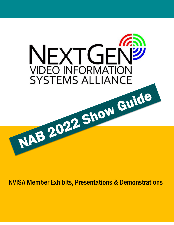

NVISA Member Exhibits, Presentations & Demonstrations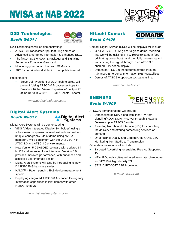

### D2D Technologies Booth W9014



D2D Technologies will be demonstrating:

- ATSC 3.0 Broadcaster App, featuring demos of Advanced Emergency Information & Enhanced ESG.
- The first ATSC3.0 ROUTE Packager and Signaling Server in a Ross openGear card.
- Monitoring your on air chain with D2Monitor.
- SRT for contribution/distribution over public internet.

Presentation:

Steve Doll, President of D2D Technologies, will present "Using ATSC 3.0 Broadcaster Apps to Provide a Richer Viewer Experience" on April 25 at 12:40PM in W10619 – CMIP Debate Theater.

*www.d2dtechnologies.com*

#### Digital Alert Systems Booth W8617 **NDigital Alert** Systems

Digital Alert Systems will be demonstrating:

- VIDS (Video Integrated Display Symbology) using a split-screen comparison of alert text with and without unique iconography. Joint demo using NVISA member ChyTV equipment with the DASDEC™ in ATSC 1.0 and ATSC 3.0 environments.
- New Version 5.0 DASDEC software with updated 64 bit OS and Improved User Interface. Version 5.0 provides improved performance, with enhanced and simplified user interface design
- Digital Alert Systems will also be introducing its new DASDEC EAS hardware series
- HALO™ Patent pending EAS device management system
- Displaying integrated ATSC 3.0 Advanced Emergency Information capabilities in joint demos with other NVISA members.

*www.digitalalertsystems.com*

#### Hitachi-Comark Booth C4409



Comark Digital Service (CDS) will be displays will include

- a full ATSC 3.0 OTA glass-to-glass demo, meaning that we will be utilizing a live, 1080p60 camera feed originating on our booth and then fully processing and transmitting this signal through to an ATSC 3.0 enabled DTV set on display.
- Demos of ATSC 3.0 the features offered through Advanced Emergency Information (AEI) capabilities
- Demos of ATSC 3.0 opportunistic datacasting.

*www.comarktv.com*

### ENENSYS

Booth W4509



ATSC3.0 demonstrations will include:

- Datacasting delivery along with linear TV from signaling/ROUTE/MMTP server through Broadcast Gateway up to ATSC3.0 exciter
- Providing Northbound Interface (NBI) for controlling the delivery and offering datacasting services ondemand
- Off-air signal Quality and Content QoE & QoS 24/7 Monitoring from Studio to Transmission

Other demonstrations will include

- Targeted Advertising for enabling Free Ad Supported TV
- NEW IPGuardX software-based automatic changeover for ST2110 & high-denisty TS
- ST2110/IPTV/OTT 24/7 Monitoring

*www.enesys.com*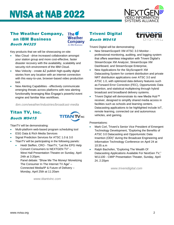

### The Weather Company, an IBM Business Booth N4325



Key products that we will be showcasing on-site:

- Max Cloud drive increased collaboration amongst your station group and more cost-effective, faster disaster recovery with the availability, scalability and security-rich environment of the IBM Cloud.
- Max Velocity create &Z publish high-quality digital stories from any location with an internet connection with this easy-to-use, browser-based video production tool.
- New Alerting Capabilities effectively communicate emerging threats across platforms with new alerting functionality leveraging Max Engage's powerful event engine and familiar Max workflows.

*ibm.com/weather/industries/broadcast-media*

#### Titan TV, Inc. Booth W9415



TitanTV will be demonstrating:

- Multi-platform web-based program scheduling tool
- ESG Data & Rich Media Services
- Signal Prediction Services for ATSC 1.0 & 3.0
- TitanTV will be participating in the following panels:
	- Heidi Steffen, CRO TitanTV, "Let the EPG Help Convert Consumers to NEXTGEN TV" – West Hall Presentation Theatre on Sunday, April 24th at 3:20pm;

Panel debate: "Show Me The Money! Monetizing The Consumer In The Internet TV Age" – Connected Media/IP & Future of Delivery – Monday, April 25th at 11:20am

*www.titantvinc.com*

### Triveni Digital Booth W9418



Triveni Digital will be demonstrating:

- New StreamScope® XM ATSC 3.0 Monitor professional monitoring, auditing, and logging system that offers seamless integration with Triveni Digital's StreamScope XM Analyzer, StreamScope XM Dashboard, and StreamScope Enterprise,
- New Applications for the SkyScraper® XM Datacasting System for content distribution and private NRT distribution applications over ATSC 3.0 and ATSC 1.0, with optimized data delivery features such as Forward Error Correction (FEC), Opportunistic Data Insertion, and statistical multiplexing through hybrid broadcast and broadband delivery systems.
- Triveni Digital will demonstrate its new Media Hub™ receiver, designed to simplify shared media access in facilities such as schools and learning centers. Datacasting applications to be highlighted include IoT, remote learning, connected car and autonomous vehicles, and gaming.

Presentations:

- Mark Corl, Triveni's Senior Vice President of Emergent Technology Development, "Exploring the Benefits of ATSC 3.0 Datacasting and Opportunistic Data Insertion (ODI)" during the Broadcast Engineering and Information Technology Conference on April 24 at 10:35 a.m
- Ralph Bachofen, "Exploring The Wealth Of Datacasting Applications Available For NextGen TV," W11100 - CMIP Presentation Theater, Sunday, April 24, 2:20pm

*www.trivenidigital.com*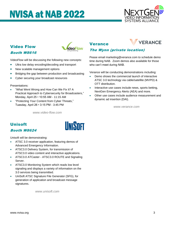

### Video Flow Booth W8616



VideoFlow will be discussing the following new concepts:

- Ultra low delay encoding/decoding and transport
- New scalable management options
- Bridging the gap between production and broadcasting
- Cyber securing your broadcast resources

Presentations:

- "What Went Wrong and How Can We Fix It? A Practical Approach to Cybersecurity for Broadcasters," Monday, April 25 • 10:55 AM - 11:15 AM
- "Protecting Your Content from Cyber Threats," Tuesday, April 26 • 3:15 PM - 3:45 PM

*www.video-flow.com*

#### Verance



#### The Wynn (private location)

Pease email marketing@verance.com to schedule demo time during NAB. Zoom demos also available for those who can't meet during NAB.

Verance will be conducting demonstrations including:

- Demo shows the commercial launch of interactive ATSC 3.0 technology via cable/satellite (MVPD) & OTT distribution.
- Interactive use cases include news, sports betting, NextGen Emergency Alerts (AEA) and more.
- Other use cases include audience measurement and dynamic ad insertion (DAI).

*www.verance.com*

### Unisoft Booth W8624

Unisoft will be demonstrating:

- ATSC 3.0 receiver application, featuring demos of Advanced Emergency Information.
- ATSC3.0 Delivery System, for transmission of ATSC3.0 video content and interactive applications.
- ATSC3.0 ATCaster ATSC3.0 ROUTE and Signaling Server.
- ATSC3.0 Monitoring System which reads low level signaling and displays a variety of information on the 3.0 services being transmitted.
- UniSoft ATSC Signature File Generator (SFG), for generation of application and broadcast message signatures.

*www.unisoft.com*

### **IINISOFT**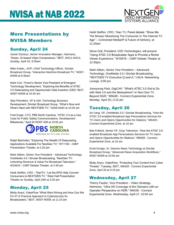

### More Presentations by NVISA Members

### Sunday, April 24

Xavier Ducloux, Senior Innovation Manager, Harmonic, "Green, AI-based Video Compression," BEIT, W311-W313, Sunday, April 24, 9:35am

Mike Kralec,, SVP, Chief Technology Officer, Sinclair Broadcast Group, "Interactive NextGen Broadcast TV," W307- W309 at 9:35am

Mark Corl, Triveni's Senior Vice President of Emergent Technology Development, "Exploring the Benefits of ATSC 3.0 Datacasting and Opportunistic Data Insertion (ODI)" BEIT, W307-W309 at 10:35 am

Skip Flenniken, VP & GM, Technology Business Development, Sinclair Broadcast Group, "What's Now and What's Next with NEXTGEN TV," N258-N260 at 10:35 am

Fred Engel, CTO, PBS North Carolina, "ATSC 3.0 as a Use Case for Public Safety Communications: Development Milestones," April 24 W307-309 at 10:55 am



Ralph Bachofen, "Exploring The Wealth Of Datacasting Applications Available For NextGen TV," W11100 - CMIP Presentation Theater, at 2:20 pm

Mark Aitken, Senior Vice President – Advanced Technology, OneMedia 3.0 / Sinclair Broadcasting, "NextGen TV: Unlocking Revenue & Value For Broadcast Television," W10619 - CMIP Debate Theater, at 2:40 pm

Heidi Steffen, CRO - TitanTV, "Let the EPG Help Convert Consumers to NEXTGEN TV," West Hall Presentation Theatre on Sunday, April 24th at 3:20 pm

#### Monday, April 25

Motty Anavi, VideoFlow "What Went Wrong and How Can We Fix It? A Practical Approach to Cybersecurity for Broadcasters," BEIT, W307-W309, at 11:15 am

Heidi Steffen, CRO, Titan TV, Panel debate: "Show Me The Money! Monetizing The Consumer In The Internet TV Age" – Connected Media/IP & Future of Delivery, at 11:20am

Steve Doll, President, D2D Technologies, will present "Using ATSC 3.0 Broadcaster Apps to Provide a Richer Viewer Experience," W10619 – CMIP Debate Theater at 12:40pm.

Mark Aitken, Senior Vice President – Advanced Technology, OneMedia 3.0 / Sinclair Broadcasting, "NEXTGEN TV Executive Q-and-A," LNU4- Networking Lounge, 3:00 pm

Joonyoung Park, DigiCAP, "What's ATSC 3.0 Got to Do with Web 3.0 and the Metasphere? or Next Gen TV Beyond 5G/6," W6428 - Connect Experiential Zone, Monday, April 25 | 3:15 pm

### Tuesday, April 26

So Vang, VP, OneMedia 3.0 / Sinclair Broadcasting, "How the ATSC 3.0-enabled Broadcast App Personalizes Services for TV Users and Opens Opportunities for Stations," W6428 - Connect Experiential Zone, at 10 am

Bob Folliard, Senior VP, Gray Television, "How the ATSC 3.0 enabled Broadcast App Personalizes Services for TV Users and Opens Opportunities for Stations," W6428 - Connect Experiential Zone, at 10 am

Ernie Ensign, Sr. Director News Technology at Sinclair Broadcast Group, "Advanced News Acquisition Workflows," W307-W309 at 10:55 am

Motty Anavi, VideoFlow, "Protecting Your Content from Cyber Threats," Tuesday, BEIT, W6428 - Connect Experiential Zone, April 26 at 3:15 pm

### Wednesday, April 27

Thierry Fautier, Vice President – Video Stratetgy, Harmonic, "Ultra HD Coverage of the Olympics with an Operator Perspective on HDR," W6428 - Connect Experiential Zone, Wednesday, April 27, 10:00 am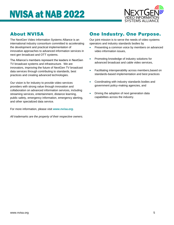

### About NVISA

The NextGen Video Information Systems Alliance is an international industry consortium committed to accelerating the development and practical implementation of innovative approaches to advanced information services in next gen broadcast and OTT systems.

The Alliance's members represent the leaders in NextGen TV broadcast systems and infrastructure. We are innovators, improving the future of NextGen TV broadcast data services through contributing to standards, best practices and creating advanced technologies.

Our vision is for industry to provide video services providers with strong value through innovation and collaboration on advanced information services, including streaming services, entertainment, distance learning, public safety, emergency information, emergency alerting, and other specialized data service.

For more information, please visit *www.nvisa.org*.

*All trademarks are the property of their respective owners.*

### One Industry. One Purpose.

Our joint mission is to serve the needs of video systems operators and industry standards bodies by

- Presenting a common voice by members on advanced video information issues,
- Promoting knowledge of industry solutions for advanced broadcast and cable video services,
- Facilitating interoperability across members,based on standards-based implementation and best practices
- Coordinating with industry standards bodies and government policy-making agencies, and
- Driving the adoption of next generation data capabilities across the industry.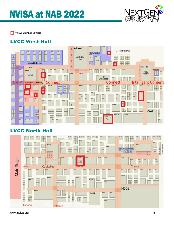

NVISA Member Exhibit

### LVCC West Hall



### LVCC North Hall